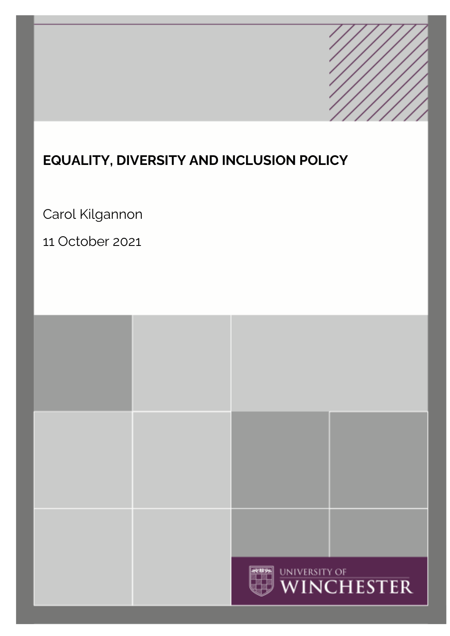# **EQUALITY, DIVERSITY AND INCLUSION POLICY**

Carol Kilgannon

11 October 2021

|  | WINCHESTER |  |
|--|------------|--|
|  |            |  |
|  |            |  |
|  |            |  |
|  |            |  |
|  |            |  |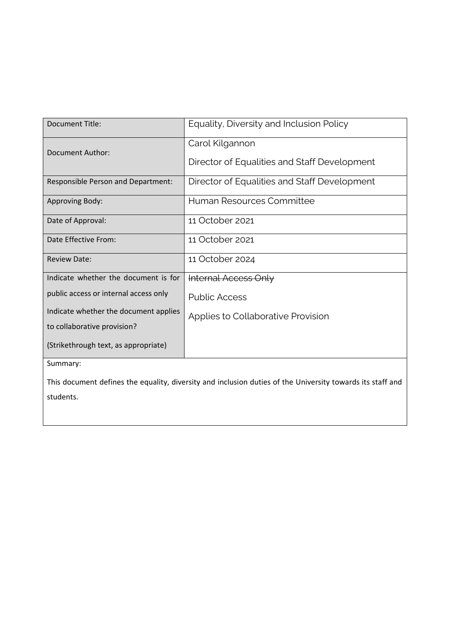| <b>Document Title:</b>                                                                                     | Equality, Diversity and Inclusion Policy     |  |  |  |
|------------------------------------------------------------------------------------------------------------|----------------------------------------------|--|--|--|
| Document Author:                                                                                           | Carol Kilgannon                              |  |  |  |
|                                                                                                            | Director of Equalities and Staff Development |  |  |  |
| Responsible Person and Department:                                                                         | Director of Equalities and Staff Development |  |  |  |
| Approving Body:                                                                                            | Human Resources Committee                    |  |  |  |
| Date of Approval:                                                                                          | 11 October 2021                              |  |  |  |
| Date Effective From:                                                                                       | 11 October 2021                              |  |  |  |
| <b>Review Date:</b>                                                                                        | 11 October 2024                              |  |  |  |
| Indicate whether the document is for                                                                       | <b>Internal Access Only</b>                  |  |  |  |
| public access or internal access only                                                                      | <b>Public Access</b>                         |  |  |  |
| Indicate whether the document applies                                                                      | Applies to Collaborative Provision           |  |  |  |
| to collaborative provision?                                                                                |                                              |  |  |  |
| (Strikethrough text, as appropriate)                                                                       |                                              |  |  |  |
| Summary:                                                                                                   |                                              |  |  |  |
| This document defines the equality, diversity and inclusion duties of the University towards its staff and |                                              |  |  |  |
| students.                                                                                                  |                                              |  |  |  |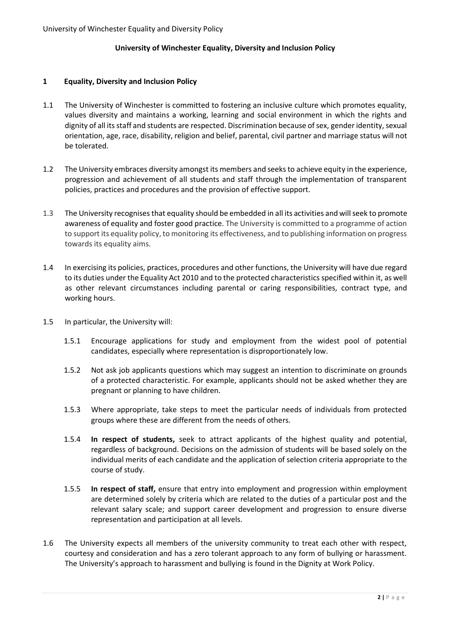## **University of Winchester Equality, Diversity and Inclusion Policy**

## **1 Equality, Diversity and Inclusion Policy**

- 1.1 The University of Winchester is committed to fostering an inclusive culture which promotes equality, values diversity and maintains a working, learning and social environment in which the rights and dignity of all its staff and students are respected. Discrimination because of sex, gender identity, sexual orientation, age, race, disability, religion and belief, parental, civil partner and marriage status will not be tolerated.
- 1.2 The University embraces diversity amongst its members and seeks to achieve equity in the experience, progression and achievement of all students and staff through the implementation of transparent policies, practices and procedures and the provision of effective support.
- 1.3 The University recognises that equality should be embedded in all its activities and will seek to promote awareness of equality and foster good practice. The University is committed to a programme of action to support its equality policy, to monitoring its effectiveness, and to publishing information on progress towards its equality aims.
- 1.4 In exercising its policies, practices, procedures and other functions, the University will have due regard to its duties under the Equality Act 2010 and to the protected characteristics specified within it, as well as other relevant circumstances including parental or caring responsibilities, contract type, and working hours.
- 1.5 In particular, the University will:
	- 1.5.1 Encourage applications for study and employment from the widest pool of potential candidates, especially where representation is disproportionately low.
	- 1.5.2 Not ask job applicants questions which may suggest an intention to discriminate on grounds of a protected characteristic. For example, applicants should not be asked whether they are pregnant or planning to have children.
	- 1.5.3 Where appropriate, take steps to meet the particular needs of individuals from protected groups where these are different from the needs of others.
	- 1.5.4 **In respect of students,** seek to attract applicants of the highest quality and potential, regardless of background. Decisions on the admission of students will be based solely on the individual merits of each candidate and the application of selection criteria appropriate to the course of study.
	- 1.5.5 **In respect of staff,** ensure that entry into employment and progression within employment are determined solely by criteria which are related to the duties of a particular post and the relevant salary scale; and support career development and progression to ensure diverse representation and participation at all levels.
- 1.6 The University expects all members of the university community to treat each other with respect, courtesy and consideration and has a zero tolerant approach to any form of bullying or harassment. The University's approach to harassment and bullying is found in the Dignity at Work Policy.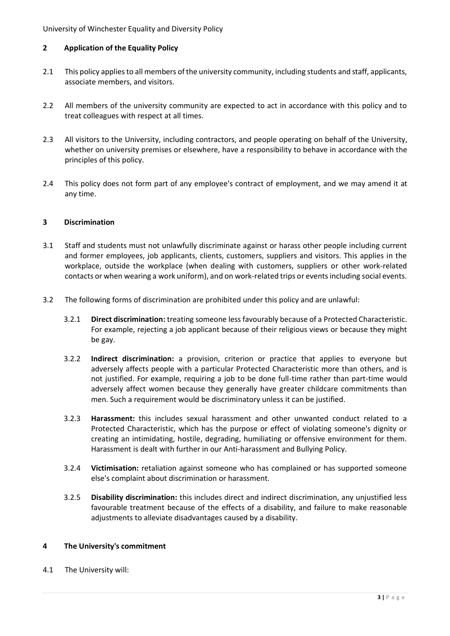University of Winchester Equality and Diversity Policy

# **2 Application of the Equality Policy**

- 2.1 This policy applies to all members of the university community, including students and staff, applicants, associate members, and visitors.
- 2.2 All members of the university community are expected to act in accordance with this policy and to treat colleagues with respect at all times.
- 2.3 All visitors to the University, including contractors, and people operating on behalf of the University, whether on university premises or elsewhere, have a responsibility to behave in accordance with the principles of this policy.
- 2.4 This policy does not form part of any employee's contract of employment, and we may amend it at any time.

## **3 Discrimination**

- 3.1 Staff and students must not unlawfully discriminate against or harass other people including current and former employees, job applicants, clients, customers, suppliers and visitors. This applies in the workplace, outside the workplace (when dealing with customers, suppliers or other work-related contacts or when wearing a work uniform), and on work-related trips or events including social events.
- 3.2 The following forms of discrimination are prohibited under this policy and are unlawful:
	- 3.2.1 **Direct discrimination:** treating someone less favourably because of a Protected Characteristic. For example, rejecting a job applicant because of their religious views or because they might be gay.
	- 3.2.2 **Indirect discrimination:** a provision, criterion or practice that applies to everyone but adversely affects people with a particular Protected Characteristic more than others, and is not justified. For example, requiring a job to be done full-time rather than part-time would adversely affect women because they generally have greater childcare commitments than men. Such a requirement would be discriminatory unless it can be justified.
	- 3.2.3 **Harassment:** this includes sexual harassment and other unwanted conduct related to a Protected Characteristic, which has the purpose or effect of violating someone's dignity or creating an intimidating, hostile, degrading, humiliating or offensive environment for them. Harassment is dealt with further in our Anti-harassment and Bullying Policy.
	- 3.2.4 **Victimisation:** retaliation against someone who has complained or has supported someone else's complaint about discrimination or harassment.
	- 3.2.5 **Disability discrimination:** this includes direct and indirect discrimination, any unjustified less favourable treatment because of the effects of a disability, and failure to make reasonable adjustments to alleviate disadvantages caused by a disability.

## **4 The University's commitment**

4.1 The University will: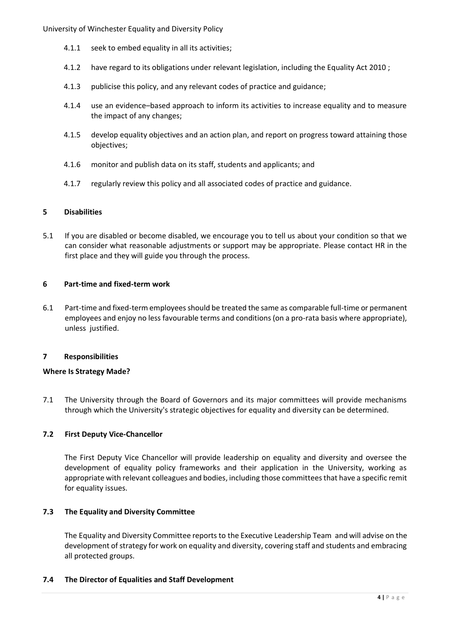- 4.1.1 seek to embed equality in all its activities;
- 4.1.2 have regard to its obligations under relevant legislation, including the Equality Act 2010 ;
- 4.1.3 publicise this policy, and any relevant codes of practice and guidance;
- 4.1.4 use an evidence–based approach to inform its activities to increase equality and to measure the impact of any changes;
- 4.1.5 develop equality objectives and an action plan, and report on progress toward attaining those objectives;
- 4.1.6 monitor and publish data on its staff, students and applicants; and
- 4.1.7 regularly review this policy and all associated codes of practice and guidance.

## **5 Disabilities**

5.1 If you are disabled or become disabled, we encourage you to tell us about your condition so that we can consider what reasonable adjustments or support may be appropriate. Please contact HR in the first place and they will guide you through the process.

## **6 Part-time and fixed-term work**

6.1 Part-time and fixed-term employees should be treated the same as comparable full-time or permanent employees and enjoy no less favourable terms and conditions (on a pro-rata basis where appropriate), unless justified.

## **7 Responsibilities**

## **Where Is Strategy Made?**

7.1 The University through the Board of Governors and its major committees will provide mechanisms through which the University's strategic objectives for equality and diversity can be determined.

# **7.2 First Deputy Vice-Chancellor**

The First Deputy Vice Chancellor will provide leadership on equality and diversity and oversee the development of equality policy frameworks and their application in the University, working as appropriate with relevant colleagues and bodies, including those committees that have a specific remit for equality issues.

# **7.3 The Equality and Diversity Committee**

The Equality and Diversity Committee reports to the Executive Leadership Team and will advise on the development of strategy for work on equality and diversity, covering staff and students and embracing all protected groups.

## **7.4 The Director of Equalities and Staff Development**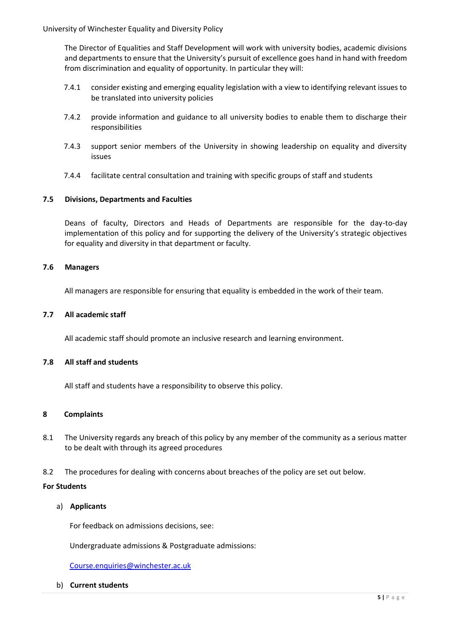University of Winchester Equality and Diversity Policy

The Director of Equalities and Staff Development will work with university bodies, academic divisions and departments to ensure that the University's pursuit of excellence goes hand in hand with freedom from discrimination and equality of opportunity. In particular they will:

- 7.4.1 consider existing and emerging equality legislation with a view to identifying relevant issues to be translated into university policies
- 7.4.2 provide information and guidance to all university bodies to enable them to discharge their responsibilities
- 7.4.3 support senior members of the University in showing leadership on equality and diversity issues
- 7.4.4 facilitate central consultation and training with specific groups of staff and students

## **7.5 Divisions, Departments and Faculties**

Deans of faculty, Directors and Heads of Departments are responsible for the day-to-day implementation of this policy and for supporting the delivery of the University's strategic objectives for equality and diversity in that department or faculty.

#### **7.6 Managers**

All managers are responsible for ensuring that equality is embedded in the work of their team.

#### **7.7 All academic staff**

All academic staff should promote an inclusive research and learning environment.

## **7.8 All staff and students**

All staff and students have a responsibility to observe this policy.

## **8 Complaints**

- 8.1 The University regards any breach of this policy by any member of the community as a serious matter to be dealt with through its agreed procedures
- 8.2 The procedures for dealing with concerns about breaches of the policy are set out below.

#### **For Students**

a) **Applicants** 

For feedback on admissions decisions, see:

Undergraduate admissions & Postgraduate admissions:

[Course.enquiries@winchester.ac.uk](mailto:Course.enquiries@winchester.ac.uk)

b) **Current students**